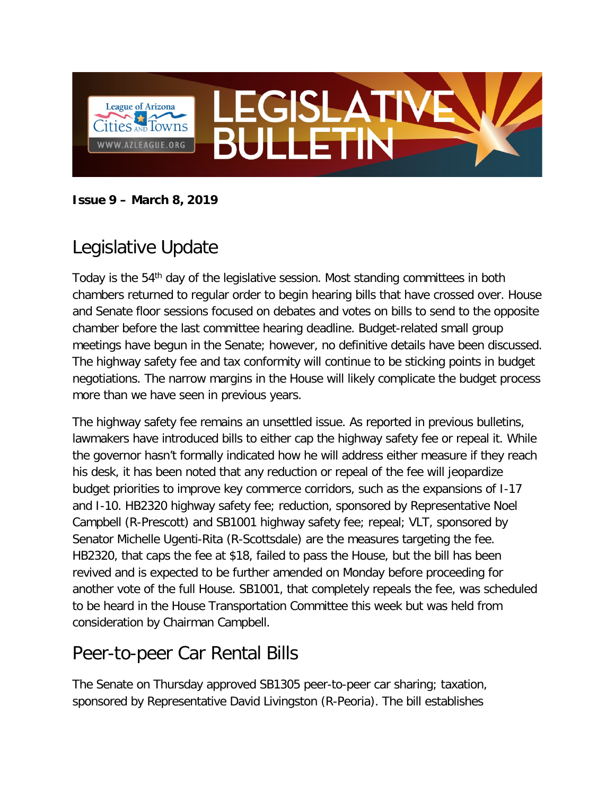

**Issue 9 – March 8, 2019**

## Legislative Update

Today is the 54<sup>th</sup> day of the legislative session. Most standing committees in both chambers returned to regular order to begin hearing bills that have crossed over. House and Senate floor sessions focused on debates and votes on bills to send to the opposite chamber before the last committee hearing deadline. Budget-related small group meetings have begun in the Senate; however, no definitive details have been discussed. The highway safety fee and tax conformity will continue to be sticking points in budget negotiations. The narrow margins in the House will likely complicate the budget process more than we have seen in previous years.

The highway safety fee remains an unsettled issue. As reported in previous bulletins, lawmakers have introduced bills to either cap the highway safety fee or repeal it. While the governor hasn't formally indicated how he will address either measure if they reach his desk, it has been noted that any reduction or repeal of the fee will jeopardize budget priorities to improve key commerce corridors, such as the expansions of I-17 and I-10. HB2320 highway safety fee; reduction, sponsored by Representative Noel Campbell (R-Prescott) and SB1001 highway safety fee; repeal; VLT, sponsored by Senator Michelle Ugenti-Rita (R-Scottsdale) are the measures targeting the fee. HB2320, that caps the fee at \$18, failed to pass the House, but the bill has been revived and is expected to be further amended on Monday before proceeding for another vote of the full House. SB1001, that completely repeals the fee, was scheduled to be heard in the House Transportation Committee this week but was held from consideration by Chairman Campbell.

## Peer-to-peer Car Rental Bills

The Senate on Thursday approved SB1305 peer-to-peer car sharing; taxation, sponsored by Representative David Livingston (R-Peoria). The bill establishes